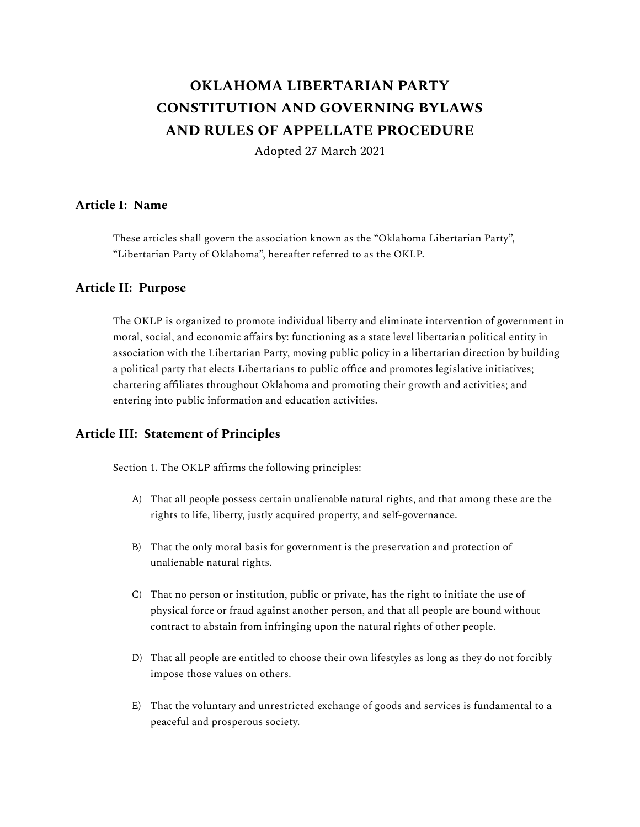# **OKLAHOMA LIBERTARIAN PARTY CONSTITUTION AND GOVERNING BYLAWS AND RULES OF APPELLATE PROCEDURE**

Adopted 27 March 2021

## **Article I: Name**

These articles shall govern the association known as the "Oklahoma Libertarian Party", "Libertarian Party of Oklahoma", hereafter referred to as the OKLP.

## **Article II: Purpose**

The OKLP is organized to promote individual liberty and eliminate intervention of government in moral, social, and economic affairs by: functioning as a state level libertarian political entity in association with the Libertarian Party, moving public policy in a libertarian direction by building a political party that elects Libertarians to public office and promotes legislative initiatives; chartering affiliates throughout Oklahoma and promoting their growth and activities; and entering into public information and education activities.

## **Article III: Statement of Principles**

Section 1. The OKLP affirms the following principles:

- A) That all people possess certain unalienable natural rights, and that among these are the rights to life, liberty, justly acquired property, and self-governance.
- B) That the only moral basis for government is the preservation and protection of unalienable natural rights.
- C) That no person or institution, public or private, has the right to initiate the use of physical force or fraud against another person, and that all people are bound without contract to abstain from infringing upon the natural rights of other people.
- D) That all people are entitled to choose their own lifestyles as long as they do not forcibly impose those values on others.
- E) That the voluntary and unrestricted exchange of goods and services is fundamental to a peaceful and prosperous society.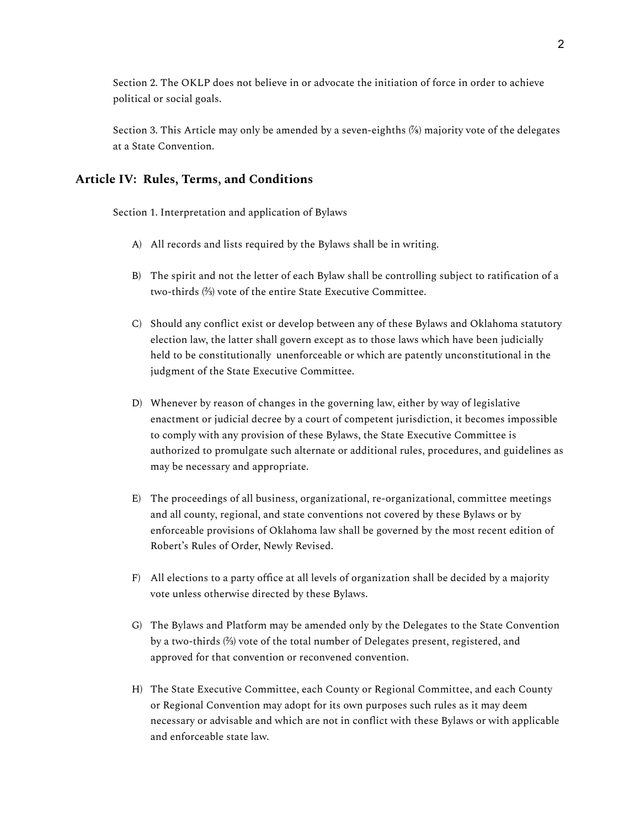Section 2. The OKLP does not believe in or advocate the initiation of force in order to achieve political or social goals.

Section 3. This Article may only be amended by a seven-eighths (%) majority vote of the delegates at a State Convention.

#### **Article IV: Rules, Terms, and Conditions**

Section 1. Interpretation and application of Bylaws

- A) All records and lists required by the Bylaws shall be in writing.
- B) The spirit and not the letter of each Bylaw shall be controlling subject to ratification of a two-thirds (⅔) vote of the entire State Executive Committee.
- C) Should any conflict exist or develop between any of these Bylaws and Oklahoma statutory election law, the latter shall govern except as to those laws which have been judicially held to be constitutionally unenforceable or which are patently unconstitutional in the judgment of the State Executive Committee.
- D) Whenever by reason of changes in the governing law, either by way of legislative enactment or judicial decree by a court of competent jurisdiction, it becomes impossible to comply with any provision of these Bylaws, the State Executive Committee is authorized to promulgate such alternate or additional rules, procedures, and guidelines as may be necessary and appropriate.
- E) The proceedings of all business, organizational, re-organizational, committee meetings and all county, regional, and state conventions not covered by these Bylaws or by enforceable provisions of Oklahoma law shall be governed by the most recent edition of Robert's Rules of Order, Newly Revised.
- F) All elections to a party office at all levels of organization shall be decided by a majority vote unless otherwise directed by these Bylaws.
- G) The Bylaws and Platform may be amended only by the Delegates to the State Convention by a two-thirds (⅔) vote of the total number of Delegates present, registered, and approved for that convention or reconvened convention.
- H) The State Executive Committee, each County or Regional Committee, and each County or Regional Convention may adopt for its own purposes such rules as it may deem necessary or advisable and which are not in conflict with these Bylaws or with applicable and enforceable state law.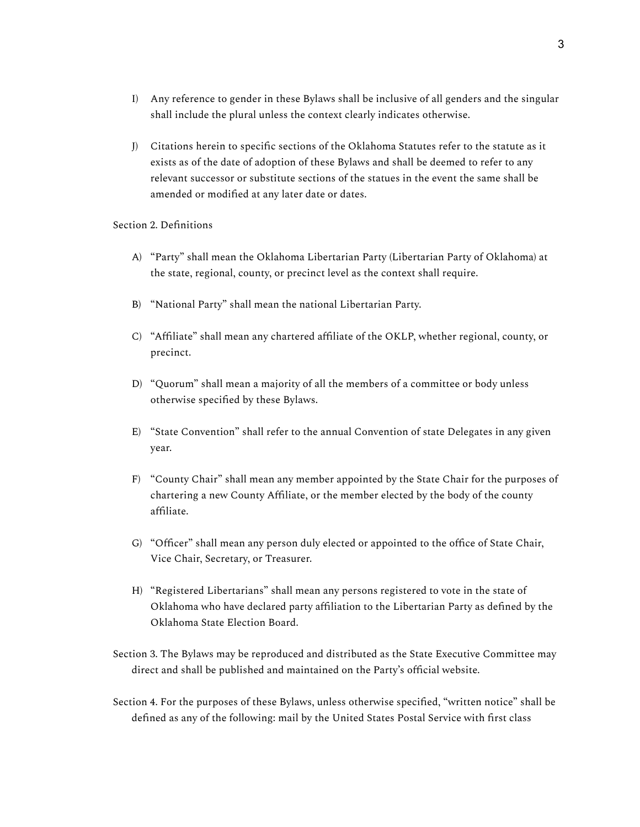- I) Any reference to gender in these Bylaws shall be inclusive of all genders and the singular shall include the plural unless the context clearly indicates otherwise.
- J) Citations herein to specific sections of the Oklahoma Statutes refer to the statute as it exists as of the date of adoption of these Bylaws and shall be deemed to refer to any relevant successor or substitute sections of the statues in the event the same shall be amended or modified at any later date or dates.

#### Section 2. Definitions

- A) "Party" shall mean the Oklahoma Libertarian Party (Libertarian Party of Oklahoma) at the state, regional, county, or precinct level as the context shall require.
- B) "National Party" shall mean the national Libertarian Party.
- C) "Affiliate" shall mean any chartered affiliate of the OKLP, whether regional, county, or precinct.
- D) "Quorum" shall mean a majority of all the members of a committee or body unless otherwise specified by these Bylaws.
- E) "State Convention" shall refer to the annual Convention of state Delegates in any given year.
- F) "County Chair" shall mean any member appointed by the State Chair for the purposes of chartering a new County Affiliate, or the member elected by the body of the county affiliate.
- G) "Officer" shall mean any person duly elected or appointed to the office of State Chair, Vice Chair, Secretary, or Treasurer.
- H) "Registered Libertarians" shall mean any persons registered to vote in the state of Oklahoma who have declared party affiliation to the Libertarian Party as defined by the Oklahoma State Election Board.
- Section 3. The Bylaws may be reproduced and distributed as the State Executive Committee may direct and shall be published and maintained on the Party's official website.
- Section 4. For the purposes of these Bylaws, unless otherwise specified, "written notice" shall be defined as any of the following: mail by the United States Postal Service with first class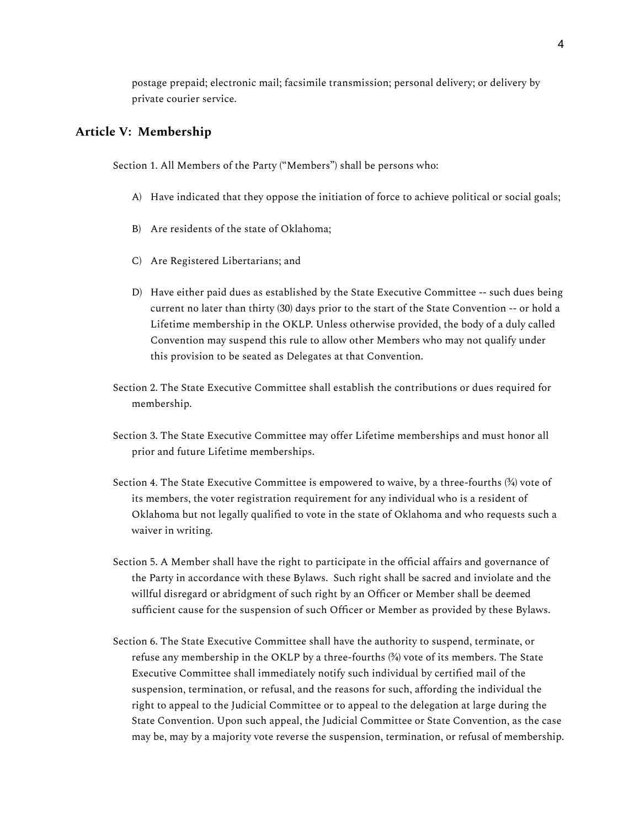postage prepaid; electronic mail; facsimile transmission; personal delivery; or delivery by private courier service.

#### **Article V: Membership**

Section 1. All Members of the Party ("Members") shall be persons who:

- A) Have indicated that they oppose the initiation of force to achieve political or social goals;
- B) Are residents of the state of Oklahoma;
- C) Are Registered Libertarians; and
- D) Have either paid dues as established by the State Executive Committee -- such dues being current no later than thirty (30) days prior to the start of the State Convention -- or hold a Lifetime membership in the OKLP. Unless otherwise provided, the body of a duly called Convention may suspend this rule to allow other Members who may not qualify under this provision to be seated as Delegates at that Convention.
- Section 2. The State Executive Committee shall establish the contributions or dues required for membership.
- Section 3. The State Executive Committee may offer Lifetime memberships and must honor all prior and future Lifetime memberships.
- Section 4. The State Executive Committee is empowered to waive, by a three-fourths (¾) vote of its members, the voter registration requirement for any individual who is a resident of Oklahoma but not legally qualified to vote in the state of Oklahoma and who requests such a waiver in writing.
- Section 5. A Member shall have the right to participate in the official affairs and governance of the Party in accordance with these Bylaws. Such right shall be sacred and inviolate and the willful disregard or abridgment of such right by an Officer or Member shall be deemed sufficient cause for the suspension of such Officer or Member as provided by these Bylaws.
- Section 6. The State Executive Committee shall have the authority to suspend, terminate, or refuse any membership in the OKLP by a three-fourths  $(34)$  vote of its members. The State Executive Committee shall immediately notify such individual by certified mail of the suspension, termination, or refusal, and the reasons for such, affording the individual the right to appeal to the Judicial Committee or to appeal to the delegation at large during the State Convention. Upon such appeal, the Judicial Committee or State Convention, as the case may be, may by a majority vote reverse the suspension, termination, or refusal of membership.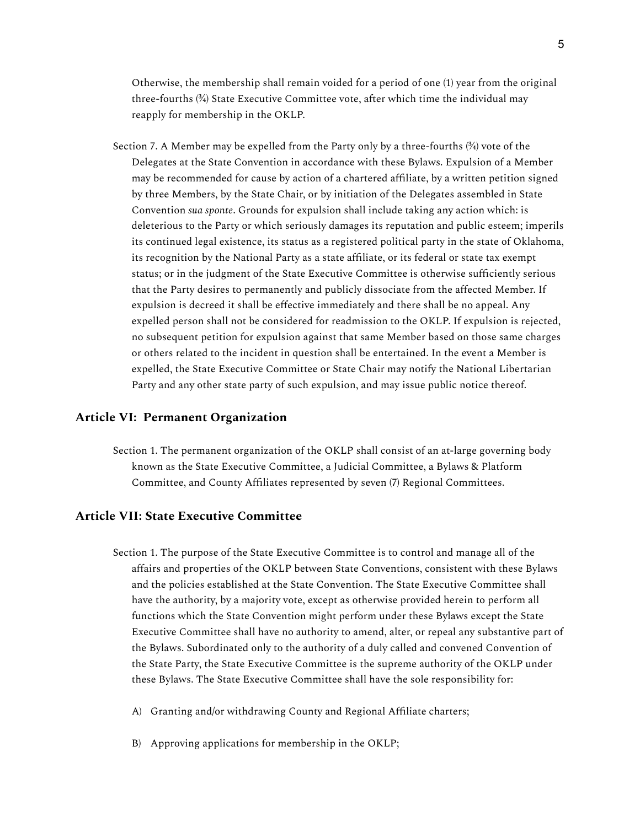Otherwise, the membership shall remain voided for a period of one (1) year from the original three-fourths (¾) State Executive Committee vote, after which time the individual may reapply for membership in the OKLP.

Section 7. A Member may be expelled from the Party only by a three-fourths  $(34)$  vote of the Delegates at the State Convention in accordance with these Bylaws. Expulsion of a Member may be recommended for cause by action of a chartered affiliate, by a written petition signed by three Members, by the State Chair, or by initiation of the Delegates assembled in State Convention *sua sponte*. Grounds for expulsion shall include taking any action which: is deleterious to the Party or which seriously damages its reputation and public esteem; imperils its continued legal existence, its status as a registered political party in the state of Oklahoma, its recognition by the National Party as a state affiliate, or its federal or state tax exempt status; or in the judgment of the State Executive Committee is otherwise sufficiently serious that the Party desires to permanently and publicly dissociate from the affected Member. If expulsion is decreed it shall be effective immediately and there shall be no appeal. Any expelled person shall not be considered for readmission to the OKLP. If expulsion is rejected, no subsequent petition for expulsion against that same Member based on those same charges or others related to the incident in question shall be entertained. In the event a Member is expelled, the State Executive Committee or State Chair may notify the National Libertarian Party and any other state party of such expulsion, and may issue public notice thereof.

#### **Article VI: Permanent Organization**

Section 1. The permanent organization of the OKLP shall consist of an at-large governing body known as the State Executive Committee, a Judicial Committee, a Bylaws & Platform Committee, and County Affiliates represented by seven (7) Regional Committees.

#### **Article VII: State Executive Committee**

- Section 1. The purpose of the State Executive Committee is to control and manage all of the affairs and properties of the OKLP between State Conventions, consistent with these Bylaws and the policies established at the State Convention. The State Executive Committee shall have the authority, by a majority vote, except as otherwise provided herein to perform all functions which the State Convention might perform under these Bylaws except the State Executive Committee shall have no authority to amend, alter, or repeal any substantive part of the Bylaws. Subordinated only to the authority of a duly called and convened Convention of the State Party, the State Executive Committee is the supreme authority of the OKLP under these Bylaws. The State Executive Committee shall have the sole responsibility for:
	- A) Granting and/or withdrawing County and Regional Affiliate charters;
	- B) Approving applications for membership in the OKLP;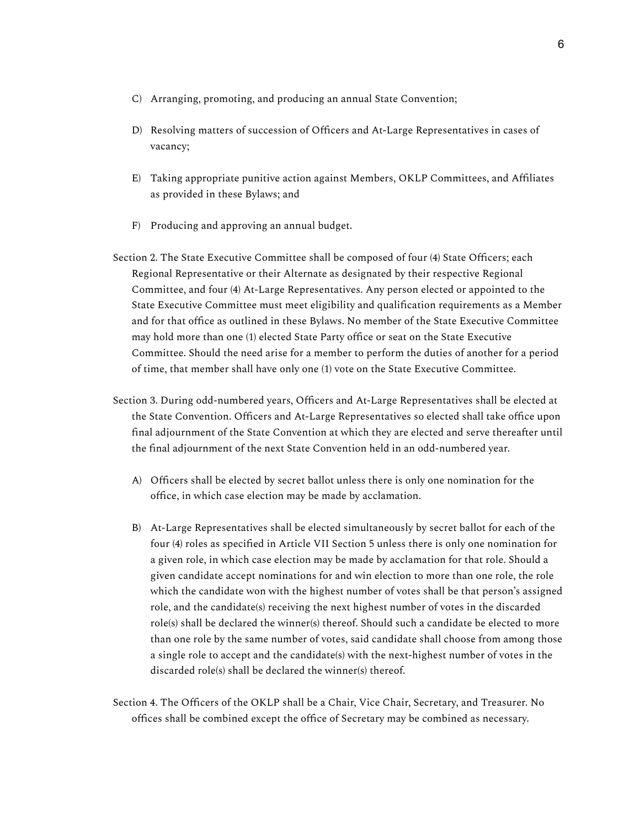- C) Arranging, promoting, and producing an annual State Convention;
- D) Resolving matters of succession of Officers and At-Large Representatives in cases of vacancy;
- E) Taking appropriate punitive action against Members, OKLP Committees, and Affiliates as provided in these Bylaws; and
- F) Producing and approving an annual budget.
- Section 2. The State Executive Committee shall be composed of four (4) State Officers; each Regional Representative or their Alternate as designated by their respective Regional Committee, and four (4) At-Large Representatives. Any person elected or appointed to the State Executive Committee must meet eligibility and qualification requirements as a Member and for that office as outlined in these Bylaws. No member of the State Executive Committee may hold more than one (1) elected State Party office or seat on the State Executive Committee. Should the need arise for a member to perform the duties of another for a period of time, that member shall have only one (1) vote on the State Executive Committee.
- Section 3. During odd-numbered years, Officers and At-Large Representatives shall be elected at the State Convention. Officers and At-Large Representatives so elected shall take office upon final adjournment of the State Convention at which they are elected and serve thereafter until the final adjournment of the next State Convention held in an odd-numbered year.
	- A) Officers shall be elected by secret ballot unless there is only one nomination for the office, in which case election may be made by acclamation.
	- B) At-Large Representatives shall be elected simultaneously by secret ballot for each of the four (4) roles as specified in Article VII Section 5 unless there is only one nomination for a given role, in which case election may be made by acclamation for that role. Should a given candidate accept nominations for and win election to more than one role, the role which the candidate won with the highest number of votes shall be that person's assigned role, and the candidate(s) receiving the next highest number of votes in the discarded role(s) shall be declared the winner(s) thereof. Should such a candidate be elected to more than one role by the same number of votes, said candidate shall choose from among those a single role to accept and the candidate(s) with the next-highest number of votes in the discarded role(s) shall be declared the winner(s) thereof.
- Section 4. The Officers of the OKLP shall be a Chair, Vice Chair, Secretary, and Treasurer. No offices shall be combined except the office of Secretary may be combined as necessary.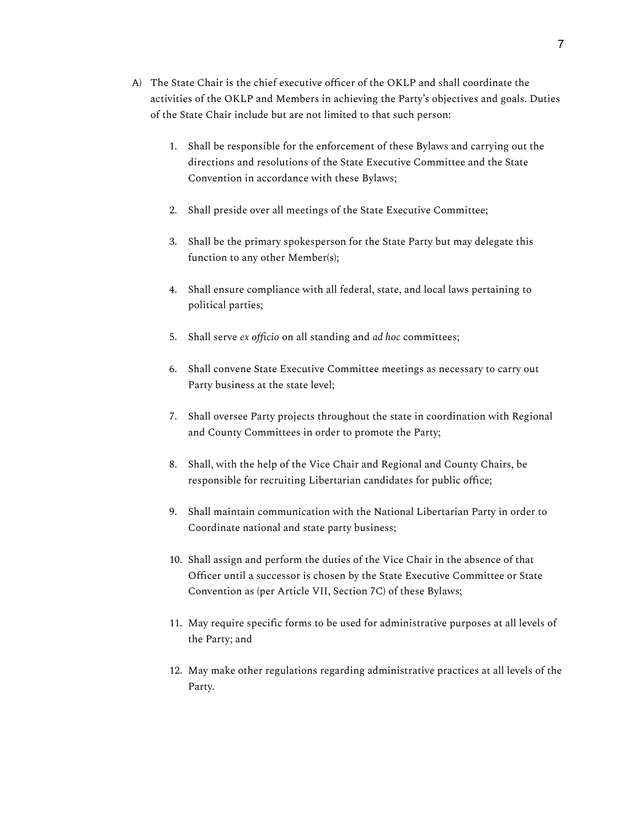- A) The State Chair is the chief executive officer of the OKLP and shall coordinate the activities of the OKLP and Members in achieving the Party's objectives and goals. Duties of the State Chair include but are not limited to that such person:
	- 1. Shall be responsible for the enforcement of these Bylaws and carrying out the directions and resolutions of the State Executive Committee and the State Convention in accordance with these Bylaws;
	- 2. Shall preside over all meetings of the State Executive Committee;
	- 3. Shall be the primary spokesperson for the State Party but may delegate this function to any other Member(s);
	- 4. Shall ensure compliance with all federal, state, and local laws pertaining to political parties;
	- 5. Shall serve *ex officio* on all standing and *ad hoc* committees;
	- 6. Shall convene State Executive Committee meetings as necessary to carry out Party business at the state level;
	- 7. Shall oversee Party projects throughout the state in coordination with Regional and County Committees in order to promote the Party;
	- 8. Shall, with the help of the Vice Chair and Regional and County Chairs, be responsible for recruiting Libertarian candidates for public office;
	- 9. Shall maintain communication with the National Libertarian Party in order to Coordinate national and state party business;
	- 10. Shall assign and perform the duties of the Vice Chair in the absence of that Officer until a successor is chosen by the State Executive Committee or State Convention as (per Article VII, Section 7C) of these Bylaws;
	- 11. May require specific forms to be used for administrative purposes at all levels of the Party; and
	- 12. May make other regulations regarding administrative practices at all levels of the Party.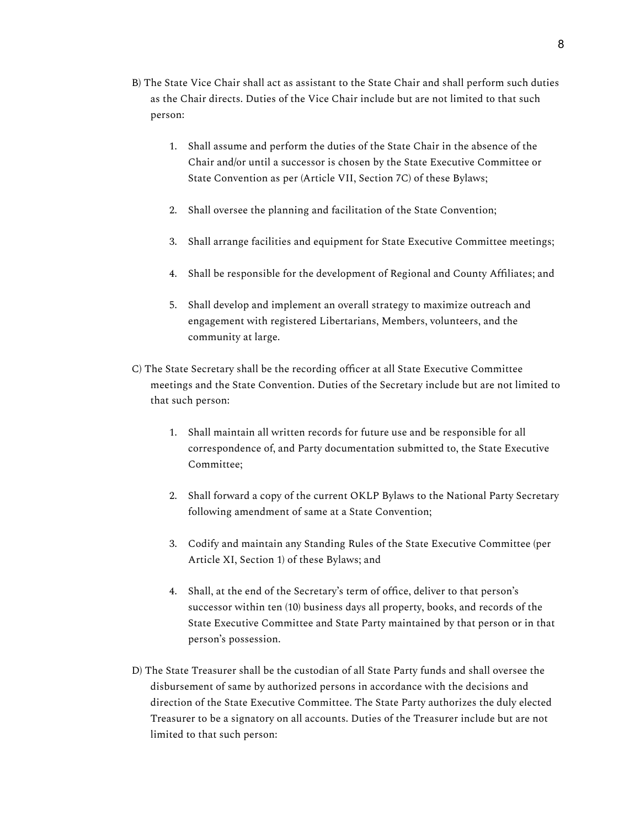- B) The State Vice Chair shall act as assistant to the State Chair and shall perform such duties as the Chair directs. Duties of the Vice Chair include but are not limited to that such person:
	- 1. Shall assume and perform the duties of the State Chair in the absence of the Chair and/or until a successor is chosen by the State Executive Committee or State Convention as per (Article VII, Section 7C) of these Bylaws;
	- 2. Shall oversee the planning and facilitation of the State Convention;
	- 3. Shall arrange facilities and equipment for State Executive Committee meetings;
	- 4. Shall be responsible for the development of Regional and County Affiliates; and
	- 5. Shall develop and implement an overall strategy to maximize outreach and engagement with registered Libertarians, Members, volunteers, and the community at large.
- C) The State Secretary shall be the recording officer at all State Executive Committee meetings and the State Convention. Duties of the Secretary include but are not limited to that such person:
	- 1. Shall maintain all written records for future use and be responsible for all correspondence of, and Party documentation submitted to, the State Executive Committee;
	- 2. Shall forward a copy of the current OKLP Bylaws to the National Party Secretary following amendment of same at a State Convention;
	- 3. Codify and maintain any Standing Rules of the State Executive Committee (per Article XI, Section 1) of these Bylaws; and
	- 4. Shall, at the end of the Secretary's term of office, deliver to that person's successor within ten (10) business days all property, books, and records of the State Executive Committee and State Party maintained by that person or in that person's possession.
- D) The State Treasurer shall be the custodian of all State Party funds and shall oversee the disbursement of same by authorized persons in accordance with the decisions and direction of the State Executive Committee. The State Party authorizes the duly elected Treasurer to be a signatory on all accounts. Duties of the Treasurer include but are not limited to that such person: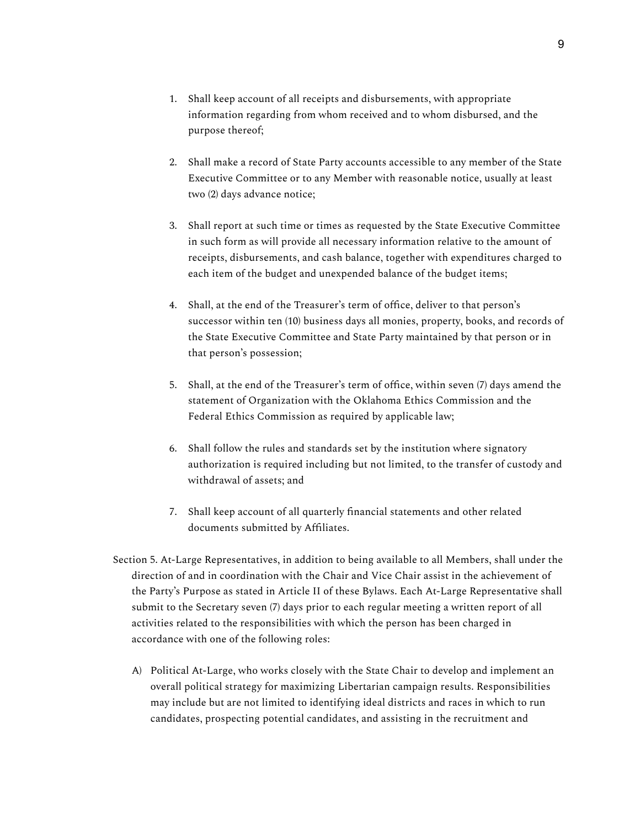- 2. Shall make a record of State Party accounts accessible to any member of the State Executive Committee or to any Member with reasonable notice, usually at least two (2) days advance notice;
- 3. Shall report at such time or times as requested by the State Executive Committee in such form as will provide all necessary information relative to the amount of receipts, disbursements, and cash balance, together with expenditures charged to each item of the budget and unexpended balance of the budget items;
- 4. Shall, at the end of the Treasurer's term of office, deliver to that person's successor within ten (10) business days all monies, property, books, and records of the State Executive Committee and State Party maintained by that person or in that person's possession;
- 5. Shall, at the end of the Treasurer's term of office, within seven (7) days amend the statement of Organization with the Oklahoma Ethics Commission and the Federal Ethics Commission as required by applicable law;
- 6. Shall follow the rules and standards set by the institution where signatory authorization is required including but not limited, to the transfer of custody and withdrawal of assets; and
- 7. Shall keep account of all quarterly financial statements and other related documents submitted by Affiliates.
- Section 5. At-Large Representatives, in addition to being available to all Members, shall under the direction of and in coordination with the Chair and Vice Chair assist in the achievement of the Party's Purpose as stated in Article II of these Bylaws. Each At-Large Representative shall submit to the Secretary seven (7) days prior to each regular meeting a written report of all activities related to the responsibilities with which the person has been charged in accordance with one of the following roles:
	- A) Political At-Large, who works closely with the State Chair to develop and implement an overall political strategy for maximizing Libertarian campaign results. Responsibilities may include but are not limited to identifying ideal districts and races in which to run candidates, prospecting potential candidates, and assisting in the recruitment and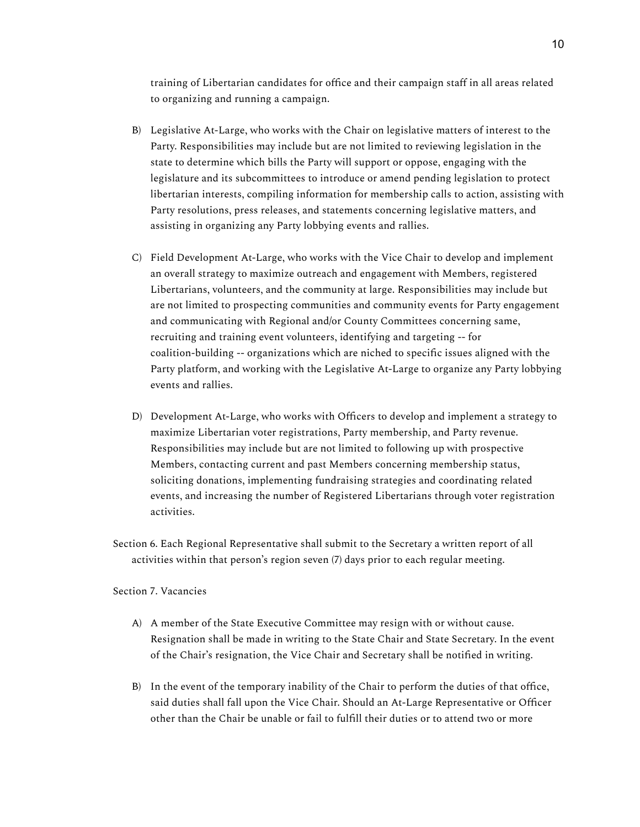training of Libertarian candidates for office and their campaign staff in all areas related to organizing and running a campaign.

- B) Legislative At-Large, who works with the Chair on legislative matters of interest to the Party. Responsibilities may include but are not limited to reviewing legislation in the state to determine which bills the Party will support or oppose, engaging with the legislature and its subcommittees to introduce or amend pending legislation to protect libertarian interests, compiling information for membership calls to action, assisting with Party resolutions, press releases, and statements concerning legislative matters, and assisting in organizing any Party lobbying events and rallies.
- C) Field Development At-Large, who works with the Vice Chair to develop and implement an overall strategy to maximize outreach and engagement with Members, registered Libertarians, volunteers, and the community at large. Responsibilities may include but are not limited to prospecting communities and community events for Party engagement and communicating with Regional and/or County Committees concerning same, recruiting and training event volunteers, identifying and targeting -- for coalition-building -- organizations which are niched to specific issues aligned with the Party platform, and working with the Legislative At-Large to organize any Party lobbying events and rallies.
- D) Development At-Large, who works with Officers to develop and implement a strategy to maximize Libertarian voter registrations, Party membership, and Party revenue. Responsibilities may include but are not limited to following up with prospective Members, contacting current and past Members concerning membership status, soliciting donations, implementing fundraising strategies and coordinating related events, and increasing the number of Registered Libertarians through voter registration activities.
- Section 6. Each Regional Representative shall submit to the Secretary a written report of all activities within that person's region seven (7) days prior to each regular meeting.

#### Section 7. Vacancies

- A) A member of the State Executive Committee may resign with or without cause. Resignation shall be made in writing to the State Chair and State Secretary. In the event of the Chair's resignation, the Vice Chair and Secretary shall be notified in writing.
- B) In the event of the temporary inability of the Chair to perform the duties of that office, said duties shall fall upon the Vice Chair. Should an At-Large Representative or Officer other than the Chair be unable or fail to fulfill their duties or to attend two or more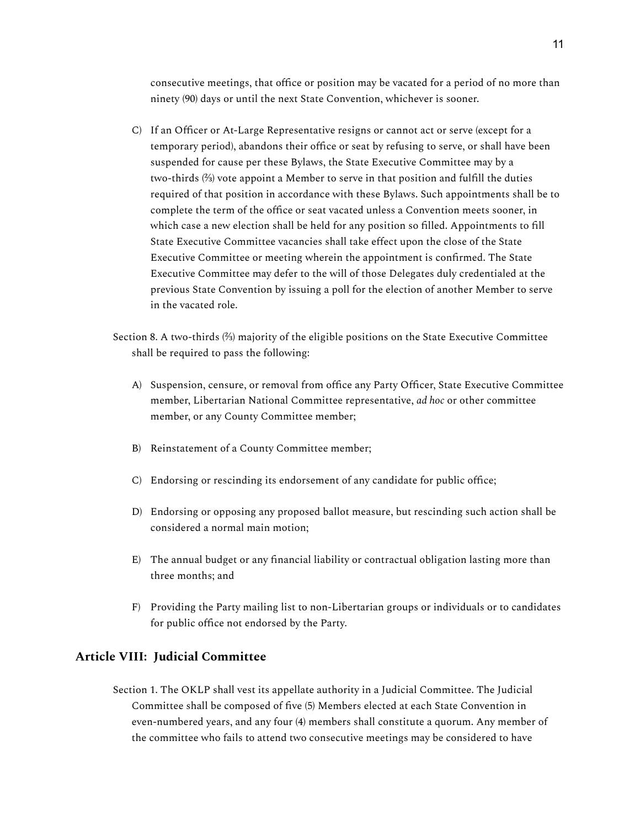consecutive meetings, that office or position may be vacated for a period of no more than ninety (90) days or until the next State Convention, whichever is sooner.

- C) If an Officer or At-Large Representative resigns or cannot act or serve (except for a temporary period), abandons their office or seat by refusing to serve, or shall have been suspended for cause per these Bylaws, the State Executive Committee may by a two-thirds (⅔) vote appoint a Member to serve in that position and fulfill the duties required of that position in accordance with these Bylaws. Such appointments shall be to complete the term of the office or seat vacated unless a Convention meets sooner, in which case a new election shall be held for any position so filled. Appointments to fill State Executive Committee vacancies shall take effect upon the close of the State Executive Committee or meeting wherein the appointment is confirmed. The State Executive Committee may defer to the will of those Delegates duly credentialed at the previous State Convention by issuing a poll for the election of another Member to serve in the vacated role.
- Section 8. A two-thirds (⅔) majority of the eligible positions on the State Executive Committee shall be required to pass the following:
	- A) Suspension, censure, or removal from office any Party Officer, State Executive Committee member, Libertarian National Committee representative, *ad hoc* or other committee member, or any County Committee member;
	- B) Reinstatement of a County Committee member;
	- C) Endorsing or rescinding its endorsement of any candidate for public office;
	- D) Endorsing or opposing any proposed ballot measure, but rescinding such action shall be considered a normal main motion;
	- E) The annual budget or any financial liability or contractual obligation lasting more than three months; and
	- F) Providing the Party mailing list to non-Libertarian groups or individuals or to candidates for public office not endorsed by the Party.

## **Article VIII: Judicial Committee**

Section 1. The OKLP shall vest its appellate authority in a Judicial Committee. The Judicial Committee shall be composed of five (5) Members elected at each State Convention in even-numbered years, and any four (4) members shall constitute a quorum. Any member of the committee who fails to attend two consecutive meetings may be considered to have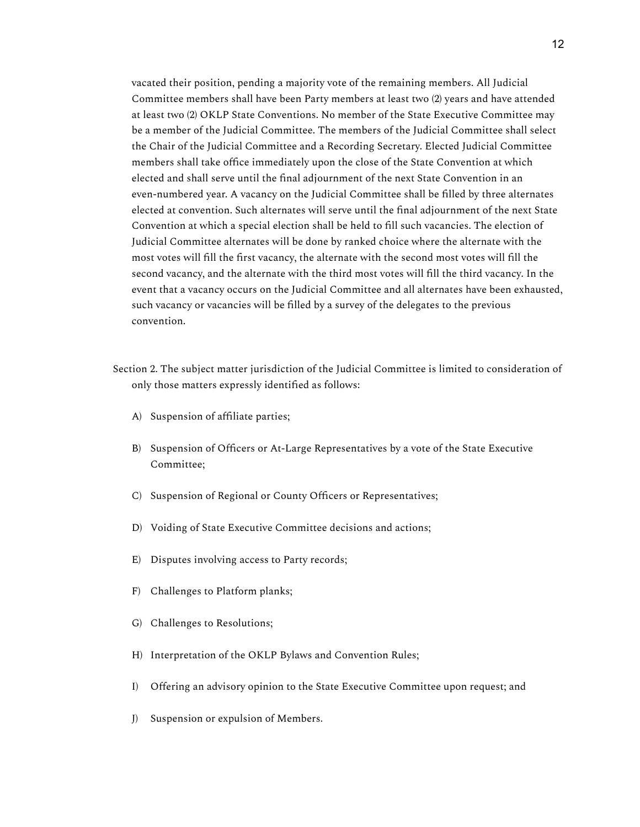vacated their position, pending a majority vote of the remaining members. All Judicial Committee members shall have been Party members at least two (2) years and have attended at least two (2) OKLP State Conventions. No member of the State Executive Committee may be a member of the Judicial Committee. The members of the Judicial Committee shall select the Chair of the Judicial Committee and a Recording Secretary. Elected Judicial Committee members shall take office immediately upon the close of the State Convention at which elected and shall serve until the final adjournment of the next State Convention in an even-numbered year. A vacancy on the Judicial Committee shall be filled by three alternates elected at convention. Such alternates will serve until the final adjournment of the next State Convention at which a special election shall be held to fill such vacancies. The election of Judicial Committee alternates will be done by ranked choice where the alternate with the most votes will fill the first vacancy, the alternate with the second most votes will fill the second vacancy, and the alternate with the third most votes will fill the third vacancy. In the event that a vacancy occurs on the Judicial Committee and all alternates have been exhausted, such vacancy or vacancies will be filled by a survey of the delegates to the previous convention.

- Section 2. The subject matter jurisdiction of the Judicial Committee is limited to consideration of only those matters expressly identified as follows:
	- A) Suspension of affiliate parties;
	- B) Suspension of Officers or At-Large Representatives by a vote of the State Executive Committee;
	- C) Suspension of Regional or County Officers or Representatives;
	- D) Voiding of State Executive Committee decisions and actions;
	- E) Disputes involving access to Party records;
	- F) Challenges to Platform planks;
	- G) Challenges to Resolutions;
	- H) Interpretation of the OKLP Bylaws and Convention Rules;
	- I) Offering an advisory opinion to the State Executive Committee upon request; and
	- J) Suspension or expulsion of Members.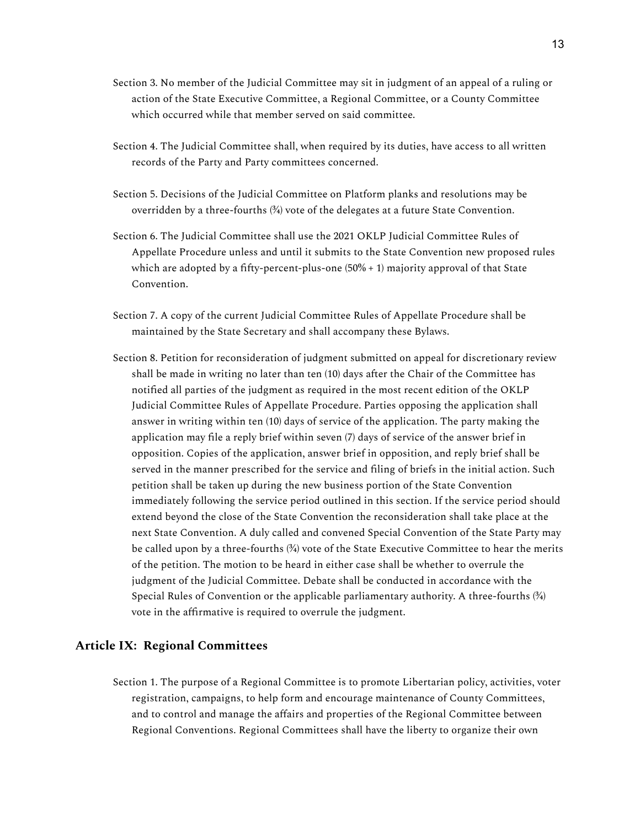- Section 3. No member of the Judicial Committee may sit in judgment of an appeal of a ruling or action of the State Executive Committee, a Regional Committee, or a County Committee which occurred while that member served on said committee.
- Section 4. The Judicial Committee shall, when required by its duties, have access to all written records of the Party and Party committees concerned.
- Section 5. Decisions of the Judicial Committee on Platform planks and resolutions may be overridden by a three-fourths  $(34)$  vote of the delegates at a future State Convention.
- Section 6. The Judicial Committee shall use the 2021 OKLP Judicial Committee Rules of Appellate Procedure unless and until it submits to the State Convention new proposed rules which are adopted by a fifty-percent-plus-one (50% + 1) majority approval of that State Convention.
- Section 7. A copy of the current Judicial Committee Rules of Appellate Procedure shall be maintained by the State Secretary and shall accompany these Bylaws.
- Section 8. Petition for reconsideration of judgment submitted on appeal for discretionary review shall be made in writing no later than ten (10) days after the Chair of the Committee has notified all parties of the judgment as required in the most recent edition of the OKLP Judicial Committee Rules of Appellate Procedure. Parties opposing the application shall answer in writing within ten (10) days of service of the application. The party making the application may file a reply brief within seven (7) days of service of the answer brief in opposition. Copies of the application, answer brief in opposition, and reply brief shall be served in the manner prescribed for the service and filing of briefs in the initial action. Such petition shall be taken up during the new business portion of the State Convention immediately following the service period outlined in this section. If the service period should extend beyond the close of the State Convention the reconsideration shall take place at the next State Convention. A duly called and convened Special Convention of the State Party may be called upon by a three-fourths  $(\frac{3}{4})$  vote of the State Executive Committee to hear the merits of the petition. The motion to be heard in either case shall be whether to overrule the judgment of the Judicial Committee. Debate shall be conducted in accordance with the Special Rules of Convention or the applicable parliamentary authority. A three-fourths  $(34)$ vote in the affirmative is required to overrule the judgment.

## **Article IX: Regional Committees**

Section 1. The purpose of a Regional Committee is to promote Libertarian policy, activities, voter registration, campaigns, to help form and encourage maintenance of County Committees, and to control and manage the affairs and properties of the Regional Committee between Regional Conventions. Regional Committees shall have the liberty to organize their own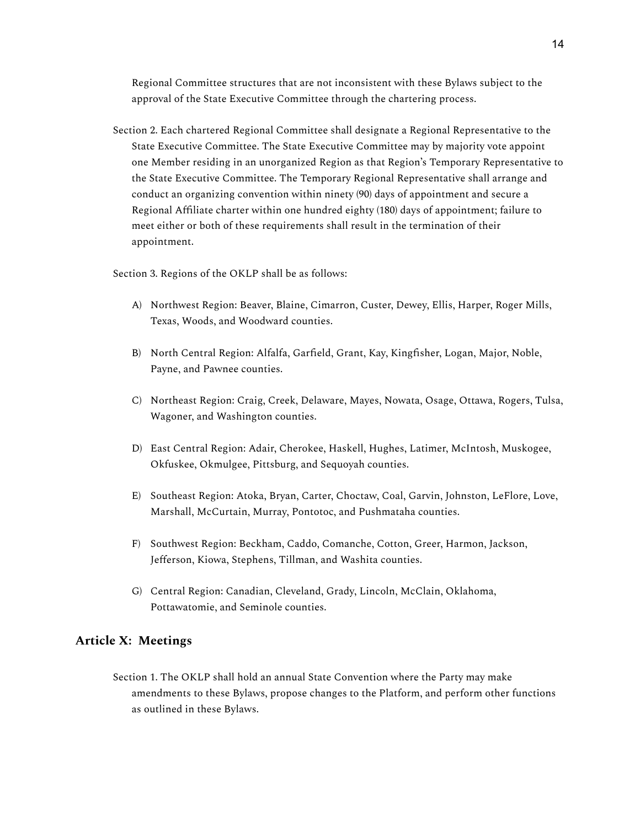Regional Committee structures that are not inconsistent with these Bylaws subject to the approval of the State Executive Committee through the chartering process.

Section 2. Each chartered Regional Committee shall designate a Regional Representative to the State Executive Committee. The State Executive Committee may by majority vote appoint one Member residing in an unorganized Region as that Region's Temporary Representative to the State Executive Committee. The Temporary Regional Representative shall arrange and conduct an organizing convention within ninety (90) days of appointment and secure a Regional Affiliate charter within one hundred eighty (180) days of appointment; failure to meet either or both of these requirements shall result in the termination of their appointment.

Section 3. Regions of the OKLP shall be as follows:

- A) Northwest Region: Beaver, Blaine, Cimarron, Custer, Dewey, Ellis, Harper, Roger Mills, Texas, Woods, and Woodward counties.
- B) North Central Region: Alfalfa, Garfield, Grant, Kay, Kingfisher, Logan, Major, Noble, Payne, and Pawnee counties.
- C) Northeast Region: Craig, Creek, Delaware, Mayes, Nowata, Osage, Ottawa, Rogers, Tulsa, Wagoner, and Washington counties.
- D) East Central Region: Adair, Cherokee, Haskell, Hughes, Latimer, McIntosh, Muskogee, Okfuskee, Okmulgee, Pittsburg, and Sequoyah counties.
- E) Southeast Region: Atoka, Bryan, Carter, Choctaw, Coal, Garvin, Johnston, LeFlore, Love, Marshall, McCurtain, Murray, Pontotoc, and Pushmataha counties.
- F) Southwest Region: Beckham, Caddo, Comanche, Cotton, Greer, Harmon, Jackson, Jefferson, Kiowa, Stephens, Tillman, and Washita counties.
- G) Central Region: Canadian, Cleveland, Grady, Lincoln, McClain, Oklahoma, Pottawatomie, and Seminole counties.

## **Article X: Meetings**

Section 1. The OKLP shall hold an annual State Convention where the Party may make amendments to these Bylaws, propose changes to the Platform, and perform other functions as outlined in these Bylaws.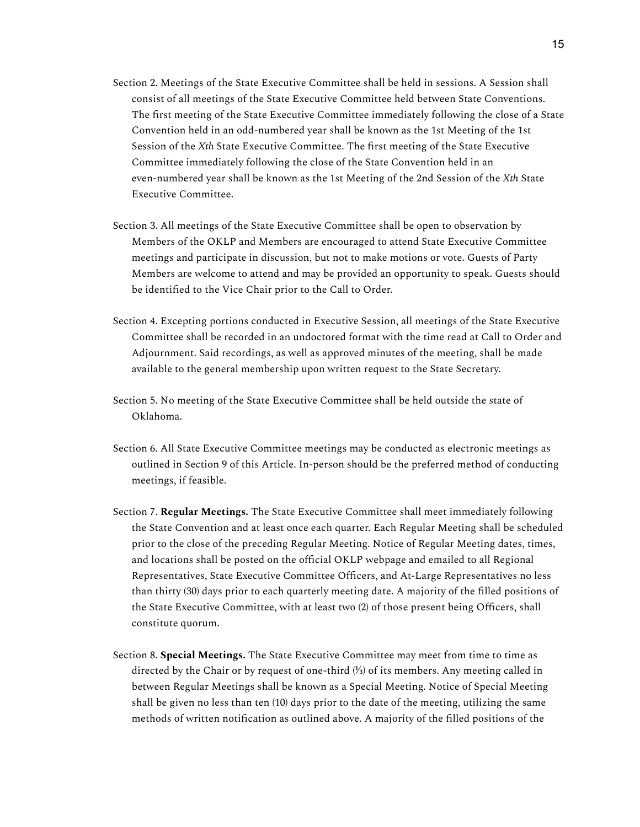- Section 2. Meetings of the State Executive Committee shall be held in sessions. A Session shall consist of all meetings of the State Executive Committee held between State Conventions. The first meeting of the State Executive Committee immediately following the close of a State Convention held in an odd-numbered year shall be known as the 1st Meeting of the 1st Session of the *Xth* State Executive Committee. The first meeting of the State Executive Committee immediately following the close of the State Convention held in an even-numbered year shall be known as the 1st Meeting of the 2nd Session of the *Xth* State Executive Committee.
- Section 3. All meetings of the State Executive Committee shall be open to observation by Members of the OKLP and Members are encouraged to attend State Executive Committee meetings and participate in discussion, but not to make motions or vote. Guests of Party Members are welcome to attend and may be provided an opportunity to speak. Guests should be identified to the Vice Chair prior to the Call to Order.
- Section 4. Excepting portions conducted in Executive Session, all meetings of the State Executive Committee shall be recorded in an undoctored format with the time read at Call to Order and Adjournment. Said recordings, as well as approved minutes of the meeting, shall be made available to the general membership upon written request to the State Secretary.
- Section 5. No meeting of the State Executive Committee shall be held outside the state of Oklahoma.
- Section 6. All State Executive Committee meetings may be conducted as electronic meetings as outlined in Section 9 of this Article. In-person should be the preferred method of conducting meetings, if feasible.
- Section 7. **Regular Meetings.** The State Executive Committee shall meet immediately following the State Convention and at least once each quarter. Each Regular Meeting shall be scheduled prior to the close of the preceding Regular Meeting. Notice of Regular Meeting dates, times, and locations shall be posted on the official OKLP webpage and emailed to all Regional Representatives, State Executive Committee Officers, and At-Large Representatives no less than thirty (30) days prior to each quarterly meeting date. A majority of the filled positions of the State Executive Committee, with at least two (2) of those present being Officers, shall constitute quorum.
- Section 8. **Special Meetings.** The State Executive Committee may meet from time to time as directed by the Chair or by request of one-third (⅓) of its members. Any meeting called in between Regular Meetings shall be known as a Special Meeting. Notice of Special Meeting shall be given no less than ten (10) days prior to the date of the meeting, utilizing the same methods of written notification as outlined above. A majority of the filled positions of the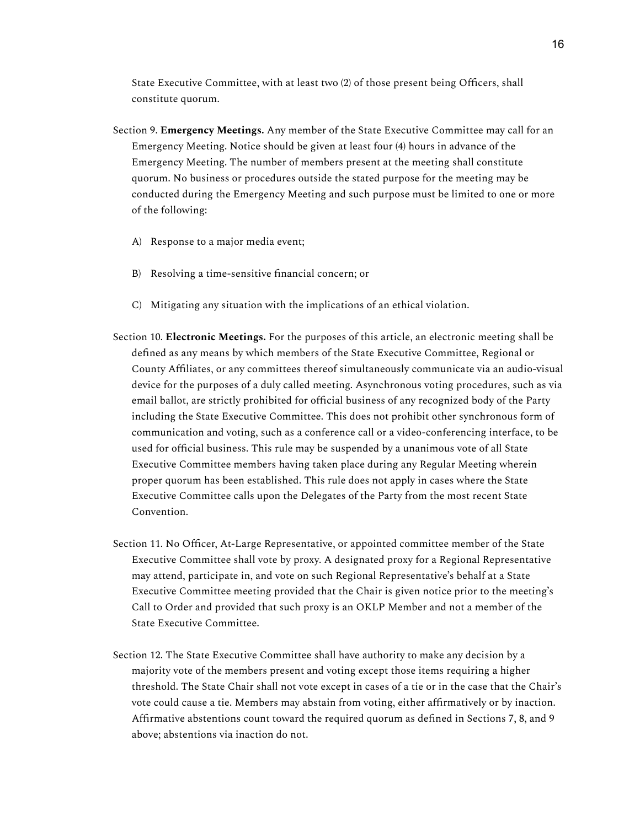State Executive Committee, with at least two (2) of those present being Officers, shall constitute quorum.

- Section 9. **Emergency Meetings.** Any member of the State Executive Committee may call for an Emergency Meeting. Notice should be given at least four (4) hours in advance of the Emergency Meeting. The number of members present at the meeting shall constitute quorum. No business or procedures outside the stated purpose for the meeting may be conducted during the Emergency Meeting and such purpose must be limited to one or more of the following:
	- A) Response to a major media event;
	- B) Resolving a time-sensitive financial concern; or
	- C) Mitigating any situation with the implications of an ethical violation.
- Section 10. **Electronic Meetings.** For the purposes of this article, an electronic meeting shall be defined as any means by which members of the State Executive Committee, Regional or County Affiliates, or any committees thereof simultaneously communicate via an audio-visual device for the purposes of a duly called meeting. Asynchronous voting procedures, such as via email ballot, are strictly prohibited for official business of any recognized body of the Party including the State Executive Committee. This does not prohibit other synchronous form of communication and voting, such as a conference call or a video-conferencing interface, to be used for official business. This rule may be suspended by a unanimous vote of all State Executive Committee members having taken place during any Regular Meeting wherein proper quorum has been established. This rule does not apply in cases where the State Executive Committee calls upon the Delegates of the Party from the most recent State Convention.
- Section 11. No Officer, At-Large Representative, or appointed committee member of the State Executive Committee shall vote by proxy. A designated proxy for a Regional Representative may attend, participate in, and vote on such Regional Representative's behalf at a State Executive Committee meeting provided that the Chair is given notice prior to the meeting's Call to Order and provided that such proxy is an OKLP Member and not a member of the State Executive Committee.
- Section 12. The State Executive Committee shall have authority to make any decision by a majority vote of the members present and voting except those items requiring a higher threshold. The State Chair shall not vote except in cases of a tie or in the case that the Chair's vote could cause a tie. Members may abstain from voting, either affirmatively or by inaction. Affirmative abstentions count toward the required quorum as defined in Sections 7, 8, and 9 above; abstentions via inaction do not.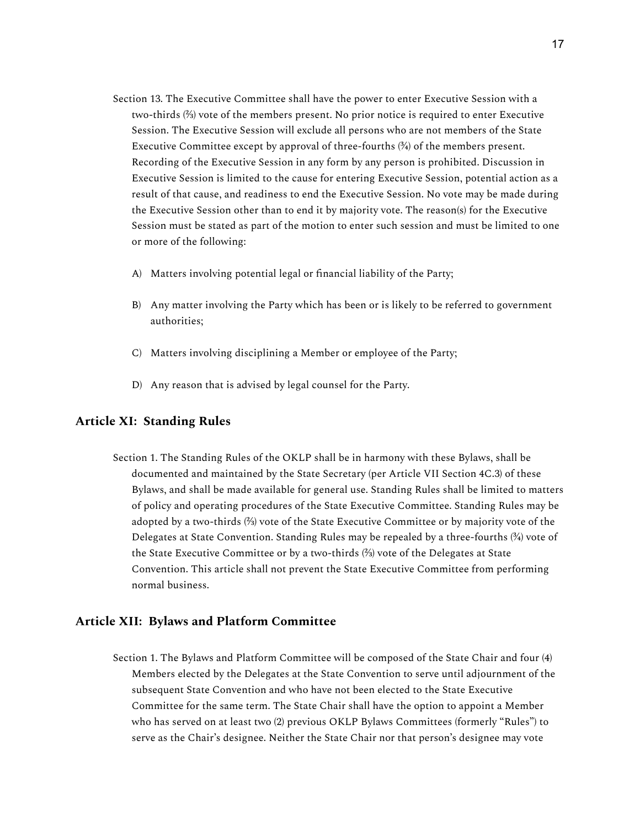- Section 13. The Executive Committee shall have the power to enter Executive Session with a two-thirds (⅔) vote of the members present. No prior notice is required to enter Executive Session. The Executive Session will exclude all persons who are not members of the State Executive Committee except by approval of three-fourths  $(34)$  of the members present. Recording of the Executive Session in any form by any person is prohibited. Discussion in Executive Session is limited to the cause for entering Executive Session, potential action as a result of that cause, and readiness to end the Executive Session. No vote may be made during the Executive Session other than to end it by majority vote. The reason(s) for the Executive Session must be stated as part of the motion to enter such session and must be limited to one or more of the following:
	- A) Matters involving potential legal or financial liability of the Party;
	- B) Any matter involving the Party which has been or is likely to be referred to government authorities;
	- C) Matters involving disciplining a Member or employee of the Party;
	- D) Any reason that is advised by legal counsel for the Party.

## **Article XI: Standing Rules**

Section 1. The Standing Rules of the OKLP shall be in harmony with these Bylaws, shall be documented and maintained by the State Secretary (per Article VII Section 4C.3) of these Bylaws, and shall be made available for general use. Standing Rules shall be limited to matters of policy and operating procedures of the State Executive Committee. Standing Rules may be adopted by a two-thirds (⅔) vote of the State Executive Committee or by majority vote of the Delegates at State Convention. Standing Rules may be repealed by a three-fourths  $\frac{3}{4}$  vote of the State Executive Committee or by a two-thirds (⅔) vote of the Delegates at State Convention. This article shall not prevent the State Executive Committee from performing normal business.

#### **Article XII: Bylaws and Platform Committee**

Section 1. The Bylaws and Platform Committee will be composed of the State Chair and four (4) Members elected by the Delegates at the State Convention to serve until adjournment of the subsequent State Convention and who have not been elected to the State Executive Committee for the same term. The State Chair shall have the option to appoint a Member who has served on at least two (2) previous OKLP Bylaws Committees (formerly "Rules") to serve as the Chair's designee. Neither the State Chair nor that person's designee may vote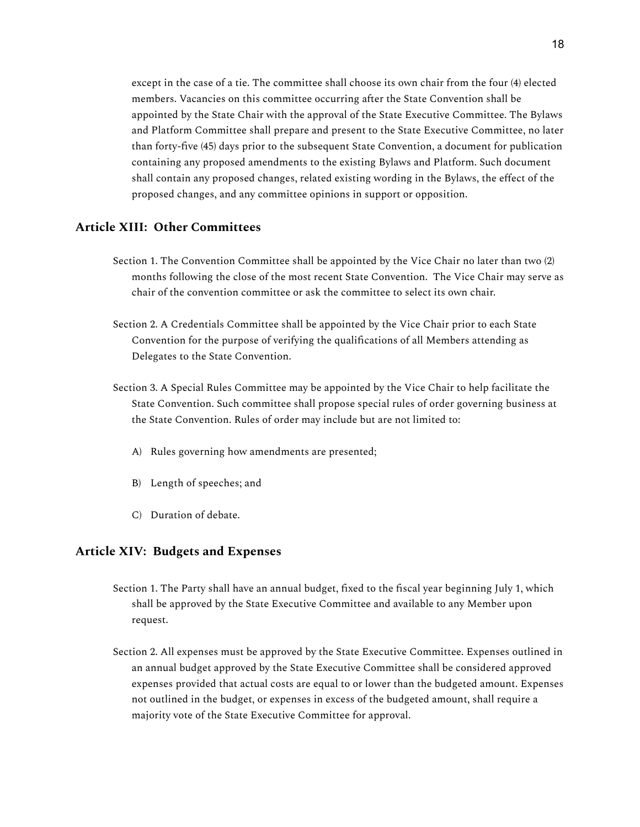except in the case of a tie. The committee shall choose its own chair from the four (4) elected members. Vacancies on this committee occurring after the State Convention shall be appointed by the State Chair with the approval of the State Executive Committee. The Bylaws and Platform Committee shall prepare and present to the State Executive Committee, no later than forty-five (45) days prior to the subsequent State Convention, a document for publication containing any proposed amendments to the existing Bylaws and Platform. Such document shall contain any proposed changes, related existing wording in the Bylaws, the effect of the proposed changes, and any committee opinions in support or opposition.

## **Article XIII: Other Committees**

- Section 1. The Convention Committee shall be appointed by the Vice Chair no later than two (2) months following the close of the most recent State Convention. The Vice Chair may serve as chair of the convention committee or ask the committee to select its own chair.
- Section 2. A Credentials Committee shall be appointed by the Vice Chair prior to each State Convention for the purpose of verifying the qualifications of all Members attending as Delegates to the State Convention.
- Section 3. A Special Rules Committee may be appointed by the Vice Chair to help facilitate the State Convention. Such committee shall propose special rules of order governing business at the State Convention. Rules of order may include but are not limited to:
	- A) Rules governing how amendments are presented;
	- B) Length of speeches; and
	- C) Duration of debate.

#### **Article XIV: Budgets and Expenses**

- Section 1. The Party shall have an annual budget, fixed to the fiscal year beginning July 1, which shall be approved by the State Executive Committee and available to any Member upon request.
- Section 2. All expenses must be approved by the State Executive Committee. Expenses outlined in an annual budget approved by the State Executive Committee shall be considered approved expenses provided that actual costs are equal to or lower than the budgeted amount. Expenses not outlined in the budget, or expenses in excess of the budgeted amount, shall require a majority vote of the State Executive Committee for approval.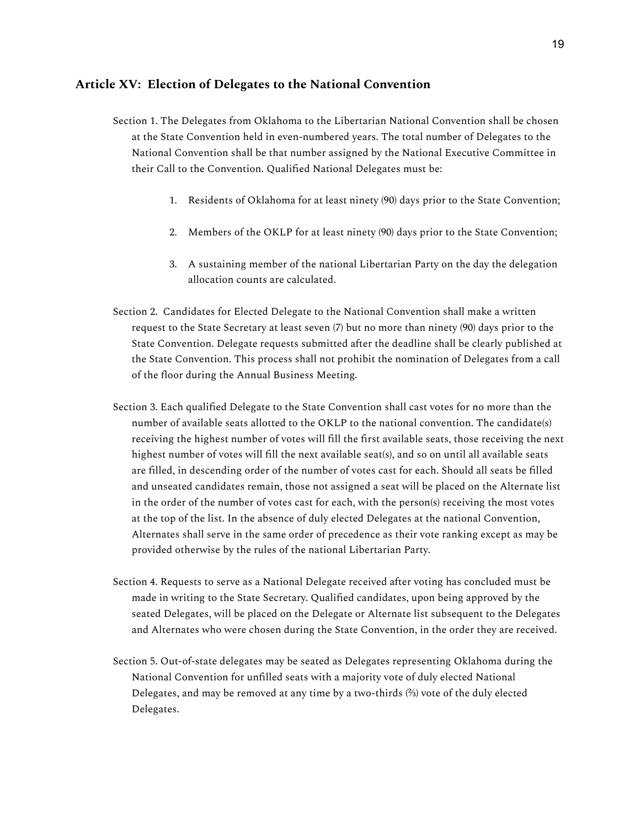#### **Article XV: Election of Delegates to the National Convention**

- Section 1. The Delegates from Oklahoma to the Libertarian National Convention shall be chosen at the State Convention held in even-numbered years. The total number of Delegates to the National Convention shall be that number assigned by the National Executive Committee in their Call to the Convention. Qualified National Delegates must be:
	- 1. Residents of Oklahoma for at least ninety (90) days prior to the State Convention;
	- 2. Members of the OKLP for at least ninety (90) days prior to the State Convention;
	- 3. A sustaining member of the national Libertarian Party on the day the delegation allocation counts are calculated.
- Section 2. Candidates for Elected Delegate to the National Convention shall make a written request to the State Secretary at least seven (7) but no more than ninety (90) days prior to the State Convention. Delegate requests submitted after the deadline shall be clearly published at the State Convention. This process shall not prohibit the nomination of Delegates from a call of the floor during the Annual Business Meeting.
- Section 3. Each qualified Delegate to the State Convention shall cast votes for no more than the number of available seats allotted to the OKLP to the national convention. The candidate(s) receiving the highest number of votes will fill the first available seats, those receiving the next highest number of votes will fill the next available seat(s), and so on until all available seats are filled, in descending order of the number of votes cast for each. Should all seats be filled and unseated candidates remain, those not assigned a seat will be placed on the Alternate list in the order of the number of votes cast for each, with the person(s) receiving the most votes at the top of the list. In the absence of duly elected Delegates at the national Convention, Alternates shall serve in the same order of precedence as their vote ranking except as may be provided otherwise by the rules of the national Libertarian Party.
- Section 4. Requests to serve as a National Delegate received after voting has concluded must be made in writing to the State Secretary. Qualified candidates, upon being approved by the seated Delegates, will be placed on the Delegate or Alternate list subsequent to the Delegates and Alternates who were chosen during the State Convention, in the order they are received.
- Section 5. Out-of-state delegates may be seated as Delegates representing Oklahoma during the National Convention for unfilled seats with a majority vote of duly elected National Delegates, and may be removed at any time by a two-thirds (⅔) vote of the duly elected Delegates.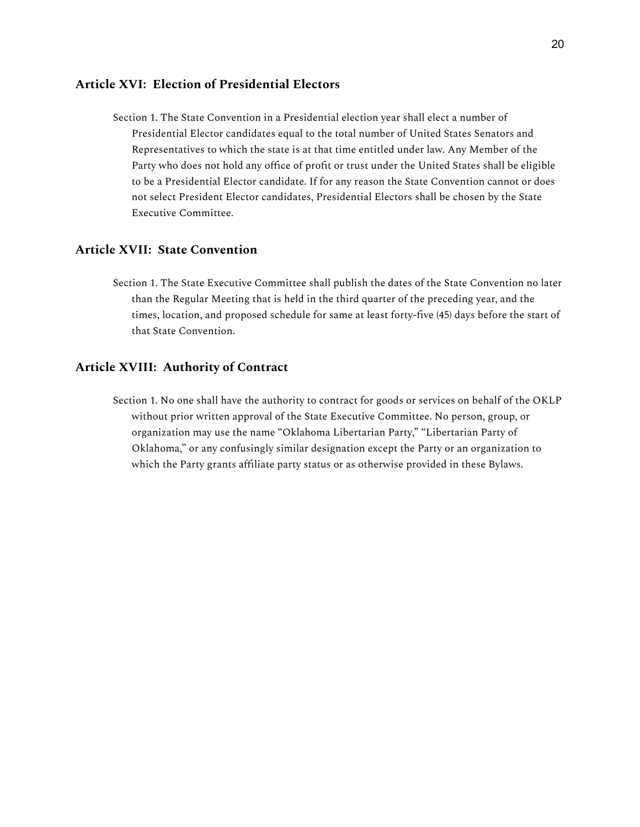## **Article XVI: Election of Presidential Electors**

Section 1. The State Convention in a Presidential election year shall elect a number of Presidential Elector candidates equal to the total number of United States Senators and Representatives to which the state is at that time entitled under law. Any Member of the Party who does not hold any office of profit or trust under the United States shall be eligible to be a Presidential Elector candidate. If for any reason the State Convention cannot or does not select President Elector candidates, Presidential Electors shall be chosen by the State Executive Committee.

## **Article XVII: State Convention**

Section 1. The State Executive Committee shall publish the dates of the State Convention no later than the Regular Meeting that is held in the third quarter of the preceding year, and the times, location, and proposed schedule for same at least forty-five (45) days before the start of that State Convention.

#### **Article XVIII: Authority of Contract**

Section 1. No one shall have the authority to contract for goods or services on behalf of the OKLP without prior written approval of the State Executive Committee. No person, group, or organization may use the name "Oklahoma Libertarian Party," "Libertarian Party of Oklahoma," or any confusingly similar designation except the Party or an organization to which the Party grants affiliate party status or as otherwise provided in these Bylaws.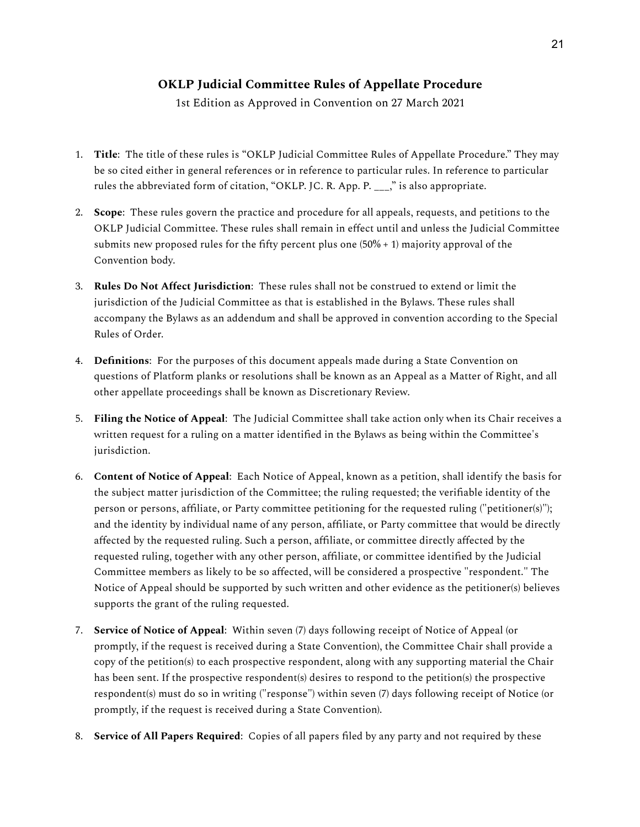## **OKLP Judicial Committee Rules of Appellate Procedure**

1st Edition as Approved in Convention on 27 March 2021

- 1. **Title**: The title of these rules is "OKLP Judicial Committee Rules of Appellate Procedure." They may be so cited either in general references or in reference to particular rules. In reference to particular rules the abbreviated form of citation, "OKLP. JC. R. App. P. \_\_\_," is also appropriate.
- 2. **Scope**: These rules govern the practice and procedure for all appeals, requests, and petitions to the OKLP Judicial Committee. These rules shall remain in effect until and unless the Judicial Committee submits new proposed rules for the fifty percent plus one  $(50\% + 1)$  majority approval of the Convention body.
- 3. **Rules Do Not Affect Jurisdiction**: These rules shall not be construed to extend or limit the jurisdiction of the Judicial Committee as that is established in the Bylaws. These rules shall accompany the Bylaws as an addendum and shall be approved in convention according to the Special Rules of Order.
- 4. **Definitions**: For the purposes of this document appeals made during a State Convention on questions of Platform planks or resolutions shall be known as an Appeal as a Matter of Right, and all other appellate proceedings shall be known as Discretionary Review.
- 5. **Filing the Notice of Appeal**: The Judicial Committee shall take action only when its Chair receives a written request for a ruling on a matter identified in the Bylaws as being within the Committee's jurisdiction.
- 6. **Content of Notice of Appeal**: Each Notice of Appeal, known as a petition, shall identify the basis for the subject matter jurisdiction of the Committee; the ruling requested; the verifiable identity of the person or persons, affiliate, or Party committee petitioning for the requested ruling ("petitioner(s)"); and the identity by individual name of any person, affiliate, or Party committee that would be directly affected by the requested ruling. Such a person, affiliate, or committee directly affected by the requested ruling, together with any other person, affiliate, or committee identified by the Judicial Committee members as likely to be so affected, will be considered a prospective "respondent." The Notice of Appeal should be supported by such written and other evidence as the petitioner(s) believes supports the grant of the ruling requested.
- 7. **Service of Notice of Appeal**: Within seven (7) days following receipt of Notice of Appeal (or promptly, if the request is received during a State Convention), the Committee Chair shall provide a copy of the petition(s) to each prospective respondent, along with any supporting material the Chair has been sent. If the prospective respondent(s) desires to respond to the petition(s) the prospective respondent(s) must do so in writing ("response") within seven (7) days following receipt of Notice (or promptly, if the request is received during a State Convention).
- 8. **Service of All Papers Required**: Copies of all papers filed by any party and not required by these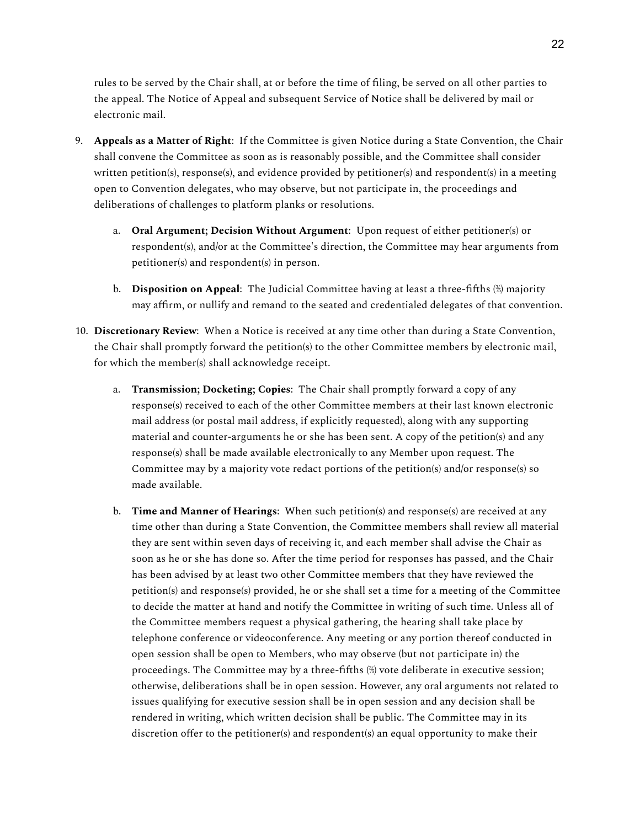rules to be served by the Chair shall, at or before the time of filing, be served on all other parties to the appeal. The Notice of Appeal and subsequent Service of Notice shall be delivered by mail or electronic mail.

- 9. **Appeals as a Matter of Right**: If the Committee is given Notice during a State Convention, the Chair shall convene the Committee as soon as is reasonably possible, and the Committee shall consider written petition(s), response(s), and evidence provided by petitioner(s) and respondent(s) in a meeting open to Convention delegates, who may observe, but not participate in, the proceedings and deliberations of challenges to platform planks or resolutions.
	- a. **Oral Argument; Decision Without Argument**: Upon request of either petitioner(s) or respondent(s), and/or at the Committee's direction, the Committee may hear arguments from petitioner(s) and respondent(s) in person.
	- b. **Disposition on Appeal**: The Judicial Committee having at least a three-fifths (⅗) majority may affirm, or nullify and remand to the seated and credentialed delegates of that convention.
- 10. **Discretionary Review**: When a Notice is received at any time other than during a State Convention, the Chair shall promptly forward the petition(s) to the other Committee members by electronic mail, for which the member(s) shall acknowledge receipt.
	- a. **Transmission; Docketing; Copies**: The Chair shall promptly forward a copy of any response(s) received to each of the other Committee members at their last known electronic mail address (or postal mail address, if explicitly requested), along with any supporting material and counter-arguments he or she has been sent. A copy of the petition(s) and any response(s) shall be made available electronically to any Member upon request. The Committee may by a majority vote redact portions of the petition(s) and/or response(s) so made available.
	- b. **Time and Manner of Hearings**: When such petition(s) and response(s) are received at any time other than during a State Convention, the Committee members shall review all material they are sent within seven days of receiving it, and each member shall advise the Chair as soon as he or she has done so. After the time period for responses has passed, and the Chair has been advised by at least two other Committee members that they have reviewed the petition(s) and response(s) provided, he or she shall set a time for a meeting of the Committee to decide the matter at hand and notify the Committee in writing of such time. Unless all of the Committee members request a physical gathering, the hearing shall take place by telephone conference or videoconference. Any meeting or any portion thereof conducted in open session shall be open to Members, who may observe (but not participate in) the proceedings. The Committee may by a three-fifths (⅗) vote deliberate in executive session; otherwise, deliberations shall be in open session. However, any oral arguments not related to issues qualifying for executive session shall be in open session and any decision shall be rendered in writing, which written decision shall be public. The Committee may in its discretion offer to the petitioner(s) and respondent(s) an equal opportunity to make their